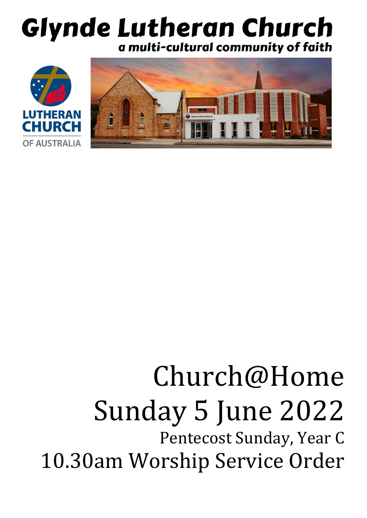## **Glynde Lutheran Church** a multi-cultural community of faith





# Church@Home Sunday 5 June 2022 Pentecost Sunday, Year C

10.30am Worship Service Order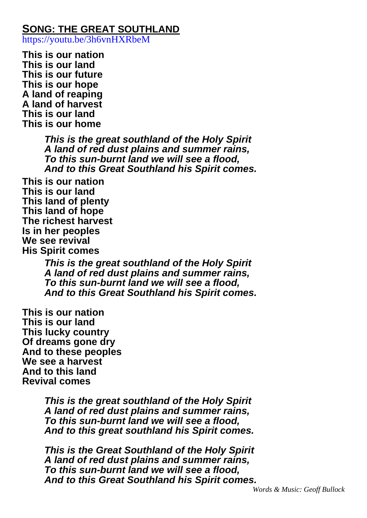#### **SONG: THE GREAT SOUTHLAND**

<https://youtu.be/3h6vnHXRbeM>

**This is our nation This is our land This is our future This is our hope A land of reaping A land of harvest This is our land This is our home**

> *This is the great southland of the Holy Spirit A land of red dust plains and summer rains, To this sun-burnt land we will see a flood, And to this Great Southland his Spirit comes.*

**This is our nation This is our land This land of plenty This land of hope The richest harvest Is in her peoples We see revival His Spirit comes**

> *This is the great southland of the Holy Spirit A land of red dust plains and summer rains, To this sun-burnt land we will see a flood, And to this Great Southland his Spirit comes.*

**This is our nation This is our land This lucky country Of dreams gone dry And to these peoples We see a harvest And to this land Revival comes**

> *This is the great southland of the Holy Spirit A land of red dust plains and summer rains, To this sun-burnt land we will see a flood, And to this great southland his Spirit comes.*

*This is the Great Southland of the Holy Spirit A land of red dust plains and summer rains, To this sun-burnt land we will see a flood, And to this Great Southland his Spirit comes.*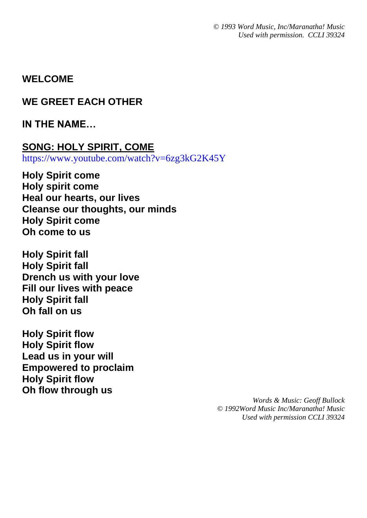#### **WELCOME**

#### **WE GREET EACH OTHER**

**IN THE NAME…**

#### **SONG: HOLY SPIRIT, COME**

<https://www.youtube.com/watch?v=6zg3kG2K45Y>

**Holy Spirit come Holy spirit come Heal our hearts, our lives Cleanse our thoughts, our minds Holy Spirit come Oh come to us**

**Holy Spirit fall Holy Spirit fall Drench us with your love Fill our lives with peace Holy Spirit fall Oh fall on us**

**Holy Spirit flow Holy Spirit flow Lead us in your will Empowered to proclaim Holy Spirit flow Oh flow through us**

> *Words & Music: Geoff Bullock © 1992Word Music Inc/Maranatha! Music Used with permission CCLI 39324*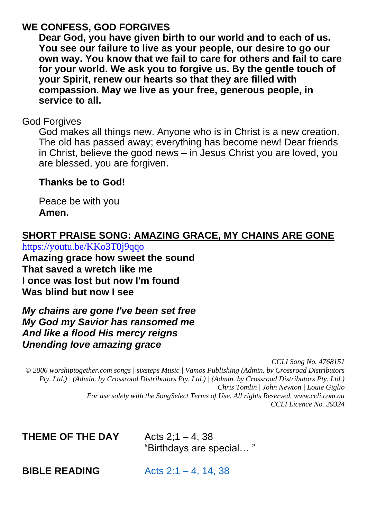#### **WE CONFESS, GOD FORGIVES**

**Dear God, you have given birth to our world and to each of us. You see our failure to live as your people, our desire to go our own way. You know that we fail to care for others and fail to care for your world. We ask you to forgive us. By the gentle touch of your Spirit, renew our hearts so that they are filled with compassion. May we live as your free, generous people, in service to all.**

#### God Forgives

God makes all things new. Anyone who is in Christ is a new creation. The old has passed away; everything has become new! Dear friends in Christ, believe the good news – in Jesus Christ you are loved, you are blessed, you are forgiven.

#### **Thanks be to God!**

Peace be with you **Amen.**

#### **SHORT PRAISE SONG: AMAZING GRACE, MY CHAINS ARE GONE**

<https://youtu.be/KKo3T0j9qqo>

**Amazing grace how sweet the sound That saved a wretch like me I once was lost but now I'm found Was blind but now I see**

*My chains are gone I've been set free My God my Savior has ransomed me And like a flood His mercy reigns Unending love amazing grace*

*CCLI Song No. 4768151 © 2006 worshiptogether.com songs | sixsteps Music | Vamos Publishing (Admin. by Crossroad Distributors Pty. Ltd.) | (Admin. by Crossroad Distributors Pty. Ltd.) | (Admin. by Crossroad Distributors Pty. Ltd.) Chris Tomlin | John Newton | Louie Giglio For use solely with the SongSelect Terms of Use. All rights Reserved. www.ccli.com.au CCLI Licence No. 39324*

**THEME OF THE DAY** Acts 2:1 – 4, 38

"Birthdays are special… "

**BIBLE READING** [Acts 2:1 –](https://www.biblegateway.com/passage/?search=Acts+2%3A1+%E2%80%93+4%2C+14%2C+38&version=GNT) 4, 14, 38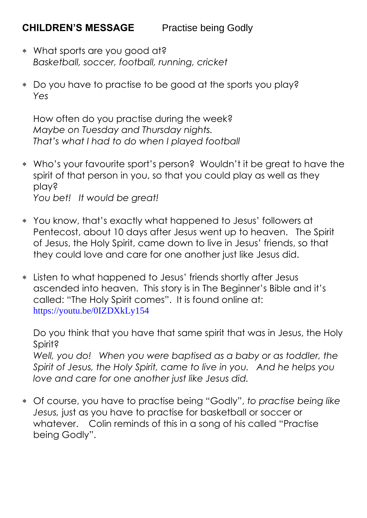### **CHILDREN'S MESSAGE** Practise being Godly

- What sports are you good at? *Basketball, soccer, football, running, cricket*
- Do you have to practise to be good at the sports you play? *Yes*

How often do you practise during the week? *Maybe on Tuesday and Thursday nights. That's what I had to do when I played football*

- Who's your favourite sport's person? Wouldn't it be great to have the spirit of that person in you, so that you could play as well as they play? *You bet! It would be great!*
- You know, that's exactly what happened to Jesus' followers at Pentecost, about 10 days after Jesus went up to heaven. The Spirit of Jesus, the Holy Spirit, came down to live in Jesus' friends, so that they could love and care for one another just like Jesus did.
- Listen to what happened to Jesus' friends shortly after Jesus ascended into heaven. This story is in The Beginner's Bible and it's called: "The Holy Spirit comes". It is found online at: <https://youtu.be/0IZDXkLy154>

Do you think that you have that same spirit that was in Jesus, the Holy Spirit? Well, you do! When you were baptised as a baby or as toddler, the *Spirit of Jesus, the Holy Spirit, came to live in you. And he helps you love and care for one another just like Jesus did.*

 Of course, you have to practise being "Godly", *to practise being like Jesus,* just as you have to practise for basketball or soccer or whatever. Colin reminds of this in a song of his called "Practise being Godly".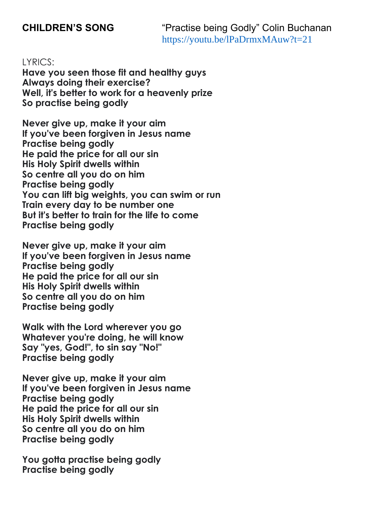**CHILDREN'S SONG** "Practise being Godly" Colin Buchanan <https://youtu.be/lPaDrmxMAuw?t=21>

#### LYRICS:

**Have you seen those fit and healthy guys Always doing their exercise? Well, it's better to work for a heavenly prize So practise being godly**

**Never give up, make it your aim If you've been forgiven in Jesus name Practise being godly He paid the price for all our sin His Holy Spirit dwells within So centre all you do on him Practise being godly You can lift big weights, you can swim or run Train every day to be number one But it's better to train for the life to come Practise being godly**

**Never give up, make it your aim If you've been forgiven in Jesus name Practise being godly He paid the price for all our sin His Holy Spirit dwells within So centre all you do on him Practise being godly**

**Walk with the Lord wherever you go Whatever you're doing, he will know Say "yes, God!", to sin say "No!" Practise being godly**

**Never give up, make it your aim If you've been forgiven in Jesus name Practise being godly He paid the price for all our sin His Holy Spirit dwells within So centre all you do on him Practise being godly**

**You gotta practise being godly Practise being godly**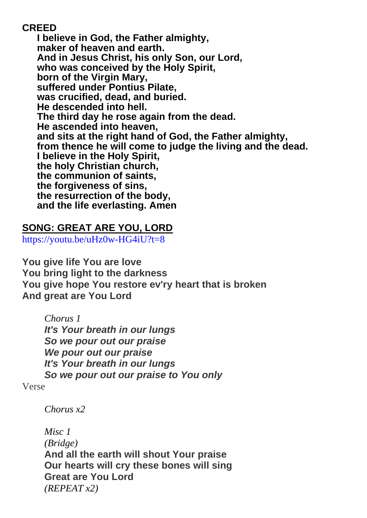#### **CREED**

**I believe in God, the Father almighty, maker of heaven and earth. And in Jesus Christ, his only Son, our Lord, who was conceived by the Holy Spirit, born of the Virgin Mary, suffered under Pontius Pilate, was crucified, dead, and buried. He descended into hell. The third day he rose again from the dead. He ascended into heaven, and sits at the right hand of God, the Father almighty, from thence he will come to judge the living and the dead. I believe in the Holy Spirit, the holy Christian church, the communion of saints, the forgiveness of sins, the resurrection of the body, and the life everlasting. Amen**

#### **SONG: GREAT ARE YOU, LORD**

<https://youtu.be/uHz0w-HG4iU?t=8>

**You give life You are love You bring light to the darkness You give hope You restore ev'ry heart that is broken And great are You Lord**

*Chorus 1 It's Your breath in our lungs So we pour out our praise We pour out our praise It's Your breath in our lungs So we pour out our praise to You only*

Verse

*Chorus x2*

*Misc 1 (Bridge)* **And all the earth will shout Your praise Our hearts will cry these bones will sing Great are You Lord** *(REPEAT x2)*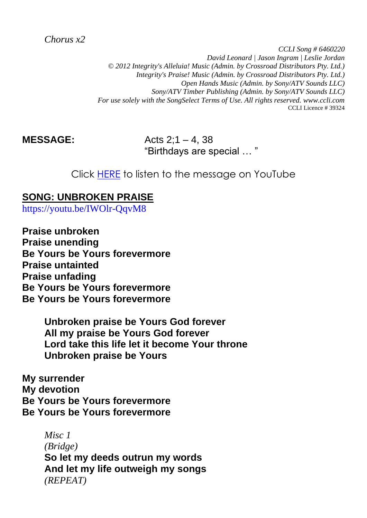*CCLI Song # 6460220 David Leonard | Jason Ingram | Leslie Jordan © 2012 Integrity's Alleluia! Music (Admin. by Crossroad Distributors Pty. Ltd.) Integrity's Praise! Music (Admin. by Crossroad Distributors Pty. Ltd.) Open Hands Music (Admin. by Sony/ATV Sounds LLC) Sony/ATV Timber Publishing (Admin. by Sony/ATV Sounds LLC) For use solely with the SongSelect Terms of Use. All rights reserved. www.ccli.com* CCLI Licence # 39324

**MESSAGE:** Acts 2:1 – 4, 38 "Birthdays are special … "

Click [HERE](https://youtu.be/_9hQaQKEP_4) to listen to the message on YouTube

#### **SONG: UNBROKEN PRAISE**

<https://youtu.be/IWOlr-QqvM8>

**Praise unbroken Praise unending Be Yours be Yours forevermore Praise untainted Praise unfading Be Yours be Yours forevermore Be Yours be Yours forevermore**

> **Unbroken praise be Yours God forever All my praise be Yours God forever Lord take this life let it become Your throne Unbroken praise be Yours**

**My surrender My devotion Be Yours be Yours forevermore Be Yours be Yours forevermore**

> *Misc 1 (Bridge)* **So let my deeds outrun my words And let my life outweigh my songs** *(REPEAT)*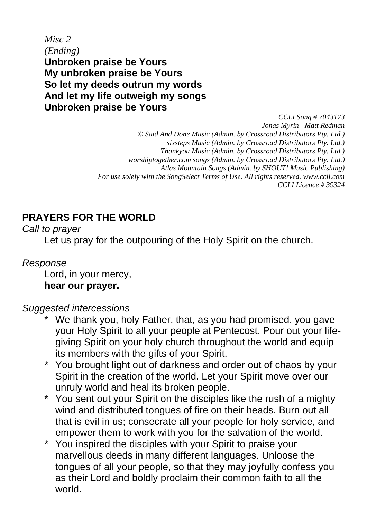*Misc 2 (Ending)* **Unbroken praise be Yours My unbroken praise be Yours So let my deeds outrun my words And let my life outweigh my songs Unbroken praise be Yours**

> *CCLI Song # 7043173 Jonas Myrin | Matt Redman © Said And Done Music (Admin. by Crossroad Distributors Pty. Ltd.) sixsteps Music (Admin. by Crossroad Distributors Pty. Ltd.) Thankyou Music (Admin. by Crossroad Distributors Pty. Ltd.) worshiptogether.com songs (Admin. by Crossroad Distributors Pty. Ltd.) Atlas Mountain Songs (Admin. by SHOUT! Music Publishing) For use solely with the SongSelect Terms of Use. All rights reserved. www.ccli.com CCLI Licence # 39324*

## **PRAYERS FOR THE WORLD**

*Call to prayer*

Let us pray for the outpouring of the Holy Spirit on the church.

*Response*

Lord, in your mercy, **hear our prayer.**

#### *Suggested intercessions*

- \* We thank you, holy Father, that, as you had promised, you gave your Holy Spirit to all your people at Pentecost. Pour out your lifegiving Spirit on your holy church throughout the world and equip its members with the gifts of your Spirit.
- \* You brought light out of darkness and order out of chaos by your Spirit in the creation of the world. Let your Spirit move over our unruly world and heal its broken people.
- \* You sent out your Spirit on the disciples like the rush of a mighty wind and distributed tongues of fire on their heads. Burn out all that is evil in us; consecrate all your people for holy service, and empower them to work with you for the salvation of the world.
- \* You inspired the disciples with your Spirit to praise your marvellous deeds in many different languages. Unloose the tongues of all your people, so that they may joyfully confess you as their Lord and boldly proclaim their common faith to all the world.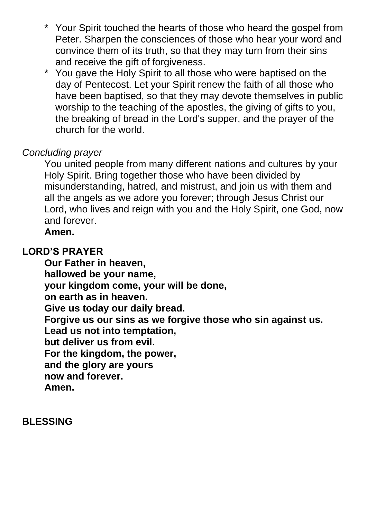- \* Your Spirit touched the hearts of those who heard the gospel from Peter. Sharpen the consciences of those who hear your word and convince them of its truth, so that they may turn from their sins and receive the gift of forgiveness.
- \* You gave the Holy Spirit to all those who were baptised on the day of Pentecost. Let your Spirit renew the faith of all those who have been baptised, so that they may devote themselves in public worship to the teaching of the apostles, the giving of gifts to you, the breaking of bread in the Lord's supper, and the prayer of the church for the world.

#### *Concluding prayer*

You united people from many different nations and cultures by your Holy Spirit. Bring together those who have been divided by misunderstanding, hatred, and mistrust, and join us with them and all the angels as we adore you forever; through Jesus Christ our Lord, who lives and reign with you and the Holy Spirit, one God, now and forever.

**Amen.**

#### **LORD'S PRAYER**

**Our Father in heaven, hallowed be your name, your kingdom come, your will be done, on earth as in heaven. Give us today our daily bread. Forgive us our sins as we forgive those who sin against us. Lead us not into temptation, but deliver us from evil. For the kingdom, the power, and the glory are yours now and forever. Amen.**

**BLESSING**